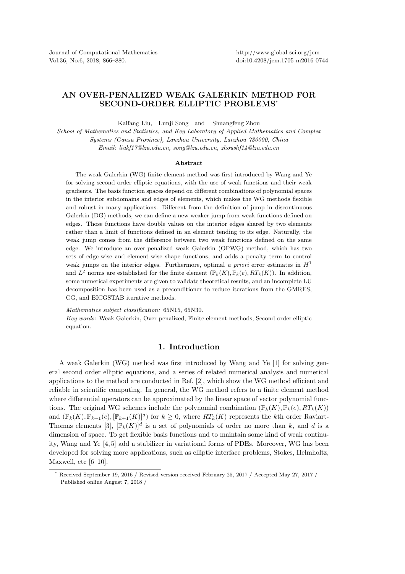## AN OVER-PENALIZED WEAK GALERKIN METHOD FOR SECOND-ORDER ELLIPTIC PROBLEMS\*

Kaifang Liu, Lunji Song and Shuangfeng Zhou

*School of Mathematics and Statistics, and Key Laboratory of Applied Mathematics and Complex Systems (Gansu Province), Lanzhou University, Lanzhou 730000, China Email: liukf17@lzu.edu.cn, song@lzu.edu.cn, zhoushf14@lzu.edu.cn*

## Abstract

The weak Galerkin (WG) finite element method was first introduced by Wang and Ye for solving second order elliptic equations, with the use of weak functions and their weak gradients. The basis function spaces depend on different combinations of polynomial spaces in the interior subdomains and edges of elements, which makes the WG methods flexible and robust in many applications. Different from the definition of jump in discontinuous Galerkin (DG) methods, we can define a new weaker jump from weak functions defined on edges. Those functions have double values on the interior edges shared by two elements rather than a limit of functions defined in an element tending to its edge. Naturally, the weak jump comes from the difference between two weak functions defined on the same edge. We introduce an over-penalized weak Galerkin (OPWG) method, which has two sets of edge-wise and element-wise shape functions, and adds a penalty term to control weak jumps on the interior edges. Furthermore, optimal *a priori* error estimates in  $H<sup>1</sup>$ and  $L^2$  norms are established for the finite element  $(\mathbb{P}_k(K), \mathbb{P}_k(e), RT_k(K))$ . In addition, some numerical experiments are given to validate theoretical results, and an incomplete LU decomposition has been used as a preconditioner to reduce iterations from the GMRES, CG, and BICGSTAB iterative methods.

*Mathematics subject classification:* 65N15, 65N30.

*Key words:* Weak Galerkin, Over-penalized, Finite element methods, Second-order elliptic equation.

## 1. Introduction

A weak Galerkin (WG) method was first introduced by Wang and Ye [1] for solving general second order elliptic equations, and a series of related numerical analysis and numerical applications to the method are conducted in Ref. [2], which show the WG method efficient and reliable in scientific computing. In general, the WG method refers to a finite element method where differential operators can be approximated by the linear space of vector polynomial functions. The original WG schemes include the polynomial combination  $(\mathbb{P}_k(K), \mathbb{P}_k(e), RT_k(K))$ and  $(\mathbb{P}_k(K), \mathbb{P}_{k+1}(e), [\mathbb{P}_{k+1}(K)]^d)$  for  $k \geq 0$ , where  $RT_k(K)$  represents the kth order Raviart-Thomas elements [3],  $[\mathbb{P}_k(K)]^d$  is a set of polynomials of order no more than k, and d is a dimension of space. To get flexible basis functions and to maintain some kind of weak continuity, Wang and Ye [4, 5] add a stabilizer in variational forms of PDEs. Moreover, WG has been developed for solving more applications, such as elliptic interface problems, Stokes, Helmholtz, Maxwell, etc [6–10].

Received September 19, 2016 / Revised version received February 25, 2017 / Accepted May 27, 2017 / Published online August 7, 2018 /